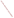